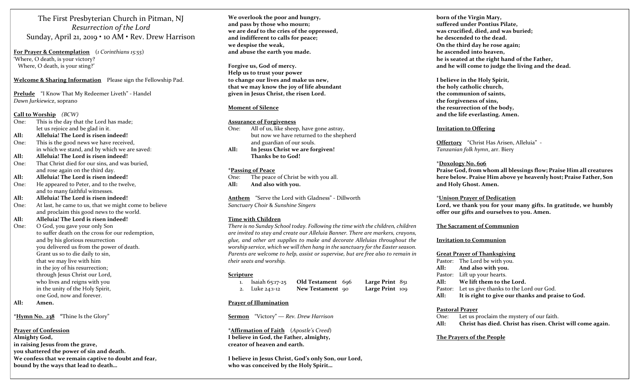The First Presbyterian Church in Pitman, NJ Resurrection of the Lord Sunday, April 21, 2019 • 10 AM • Rev. Drew Harrison

For Prayer & Contemplation (1 Corinthians 15:55) 'Where, O death, is your victory? Where, O death, is your sting?'

Welcome & Sharing Information Please sign the Fellowship Pad.

Prelude "I Know That My Redeemer Liveth" - Handel Dawn Jurkiewicz, soprano

#### Call to Worship (BCW)

- One: This is the day that the Lord has made; let us rejoice and be glad in it.
- All: Alleluia! The Lord is risen indeed!
- One: This is the good news we have received, in which we stand, and by which we are saved:
- All: Alleluia! The Lord is risen indeed!
- One: That Christ died for our sins, and was buried, and rose again on the third day.
- All: Alleluia! The Lord is risen indeed!
- One: He appeared to Peter, and to the twelve, and to many faithful witnesses.

All: Alleluia! The Lord is risen indeed!

- One: At last, he came to us, that we might come to believe and proclaim this good news to the world.
- All: Alleluia! The Lord is risen indeed!
- One: O God, you gave your only Son to suffer death on the cross for our redemption, and by his glorious resurrection you delivered us from the power of death. Grant us so to die daily to sin, that we may live with him in the joy of his resurrection; through Jesus Christ our Lord, who lives and reigns with you in the unity of the Holy Spirit, one God, now and forever.
- All: Amen.

# \*Hymn No. 238 "Thine Is the Glory"

#### Prayer of Confession

Almighty God, in raising Jesus from the grave, you shattered the power of sin and death. We confess that we remain captive to doubt and fear, bound by the ways that lead to death…

We overlook the poor and hungry, and pass by those who mourn; we are deaf to the cries of the oppressed, and indifferent to calls for peace; we despise the weak, and abuse the earth you made.

Forgive us, God of mercy. Help us to trust your power to change our lives and make us new, that we may know the joy of life abundant given in Jesus Christ, the risen Lord.

#### Moment of Silence

#### Assurance of Forgiveness

- One: All of us, like sheep, have gone astray, but now we have returned to the shepherd and guardian of our souls.
- All: In Jesus Christ we are forgiven! Thanks be to God!

#### \*Passing of Peace

One: The peace of Christ be with you all. All: And also with you.

Anthem "Serve the Lord with Gladness" - Dillworth Sanctuary Choir & Sunshine Singers

#### Time with Children

There is no Sunday School today. Following the time with the children, children are invited to stay and create our Alleluia Banner. There are markers, crayons, glue, and other art supplies to make and decorate Alleluias throughout the worship service, which we will then hang in the sanctuary for the Easter season. Parents are welcome to help, assist or supervise, but are free also to remain in their seats and worship.

#### Scripture

| Isaiah 65:17-25 | Old Testament 696 | Large Print $851$ |  |
|-----------------|-------------------|-------------------|--|
| 2. Luke 24:1-12 | New Testament 90  | Large Print 109   |  |

#### Prayer of Illumination

Sermon "Victory" — Rev. Drew Harrison

\*Affirmation of Faith (Apostle's Creed) I believe in God, the Father, almighty, creator of heaven and earth.

I believe in Jesus Christ, God's only Son, our Lord, who was conceived by the Holy Spirit…

born of the Virgin Mary, suffered under Pontius Pilate, was crucified, died, and was buried; he descended to the dead. On the third day he rose again; he ascended into heaven, he is seated at the right hand of the Father, and he will come to judge the living and the dead.

I believe in the Holy Spirit, the holy catholic church, the communion of saints, the forgiveness of sins, the resurrection of the body, and the life everlasting. Amen.

#### Invitation to Offering

Offertory "Christ Has Arisen, Alleluia" - Tanzanian folk hymn, arr. Biery

#### \*Doxology No. 606

Praise God, from whom all blessings flow; Praise Him all creatures here below. Praise Him above ye heavenly host; Praise Father, Son and Holy Ghost. Amen.

#### \*Unison Prayer of Dedication

Lord, we thank you for your many gifts. In gratitude, we humbly offer our gifts and ourselves to you. Amen.

#### The Sacrament of Communion

#### Invitation to Communion

#### Great Prayer of Thanksgiving

Pastor: The Lord be with you. All: And also with you. Pastor: Lift up your hearts. All: We lift them to the Lord. Pastor: Let us give thanks to the Lord our God. All: It is right to give our thanks and praise to God.

#### Pastoral Prayer

- One: Let us proclaim the mystery of our faith.
- All: Christ has died. Christ has risen. Christ will come again.

#### The Prayers of the People